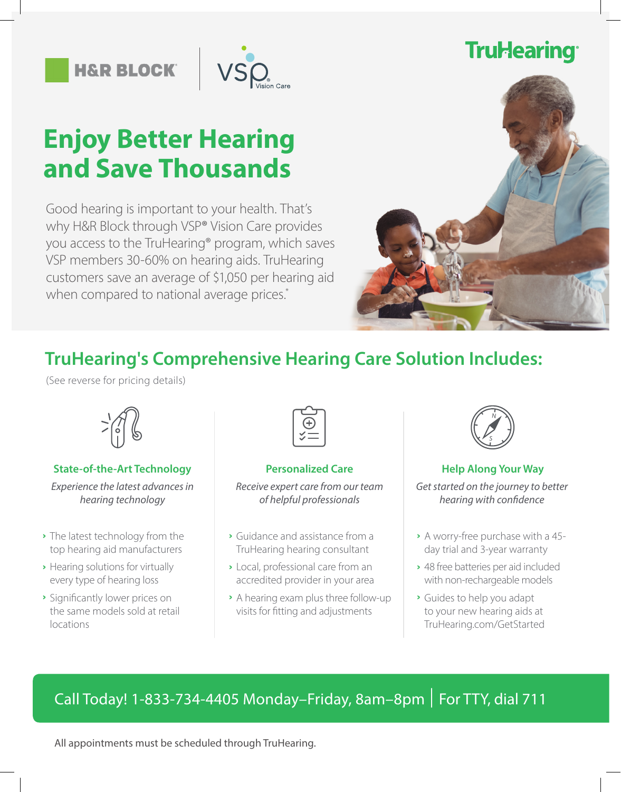## **TruHearing®**

**H&R BLOCK** 



# **Enjoy Better Hearing and Save Thousands**

Good hearing is important to your health. That's why H&R Block through VSP® Vision Care provides you access to the TruHearing® program, which saves VSP members 30-60% on hearing aids. TruHearing customers save an average of \$1,050 per hearing aid when compared to national average prices.\*



### **TruHearing's Comprehensive Hearing Care Solution Includes:**

(See reverse for pricing details)



### **State-of-the-Art Technology State-of-the-Art Technology Arrow Personalized Care Help Along Your Way**

*Experience the latest advances in hearing technology*

- The latest technology from the **ˆ** top hearing aid manufacturers
- Hearing solutions for virtually **ˆ** every type of hearing loss
- **▸** Significantly lower prices on the same models sold at retail locations



*Receive expert care from our team of helpful professionals*

- Guidance and assistance from a **ˆ** TruHearing hearing consultant
- Local, professional care from an **ˆ** accredited provider in your area
- **▸** A hearing exam plus three follow-up visits for fitting and adjustments



*Get started on the journey to better hearing with confidence*

- A worry-free purchase with a 45- **ˆ** day trial and 3-year warranty
- 48 free batteries per aid included **ˆ** with non-rechargeable models
- Guides to help you adapt **ˆ** to your new hearing aids at TruHearing.com/GetStarted

### Call Today! 1-833-734-4405 Monday-Friday, 8am-8pm | For TTY, dial 711

All appointments must be scheduled through TruHearing.